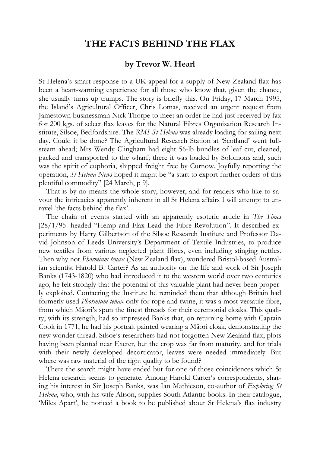## **THE FACTS BEHIND THE FLAX**

## **by Trevor W. Hearl**

St Helena's smart response to a UK appeal for a supply of New Zealand flax has been a heart-warming experience for all those who know that, given the chance, she usually turns up trumps. The story is briefly this. On Friday, 17 March 1995, the Island's Agricultural Officer, Chris Lomas, received an urgent request from Jamestown businessman Nick Thorpe to meet an order he had just received by fax for 200 kgs. of select flax leaves for the Natural Fibres Organisation Research Institute, Silsoe, Bedfordshire. The *RMS St Helena* was already loading for sailing next day. Could it be done? The Agricultural Research Station at 'Scotland' went fullsteam ahead; Mrs Wendy Clingham had eight 56-lb bundles of leaf cut, cleaned, packed and transported to the wharf; there it was loaded by Solomons and, such was the spirit of euphoria, shipped freight free by Curnow. Joyfully reporting the operation, *St Helena News* hoped it might be "a start to export further orders of this plentiful commodity" [24 March, p 9].

That is by no means the whole story, however, and for readers who like to savour the intricacies apparently inherent in all St Helena affairs I will attempt to unravel 'the facts behind the flax'.

The chain of events started with an apparently esoteric article in *The Times* [28/1/95] headed "Hemp and Flax Lead the Fibre Revolution". It described experiments by Harry Gilbertson of the Silsoe Research Institute and Professor David Johnson of Leeds University's Department of Textile Industries, to produce new textiles from various neglected plant fibres, even including stinging nettles. Then why not *Phormium tenax* (New Zealand flax), wondered Bristol-based Australian scientist Harold B. Carter? As an authority on the life and work of Sir Joseph Banks (1743-1820) who had introduced it to the western world over two centuries ago, he felt strongly that the potential of this valuable plant had never been properly exploited. Contacting the Institute he reminded them that although Britain had formerly used *Phormium tenax* only for rope and twine, it was a most versatile fibre, from which Māori's spun the finest threads for their ceremonial cloaks. This quality, with its strength, had so impressed Banks that, on returning home with Captain Cook in 1771, he had his portrait painted wearing a Māori cloak, demonstrating the new wonder thread. Silsoe's researchers had not forgotten New Zealand flax, plots having been planted near Exeter, but the crop was far from maturity, and for trials with their newly developed decorticator, leaves were needed immediately. But where was raw material of the right quality to be found?

There the search might have ended but for one of those coincidences which St Helena research seems to generate. Among Harold Carter's correspondents, sharing his interest in Sir Joseph Banks, was Ian Mathieson, co-author of *Exploring St Helena*, who, with his wife Alison, supplies South Atlantic books. In their catalogue, 'Miles Apart', he noticed a book to be published about St Helena's flax industry